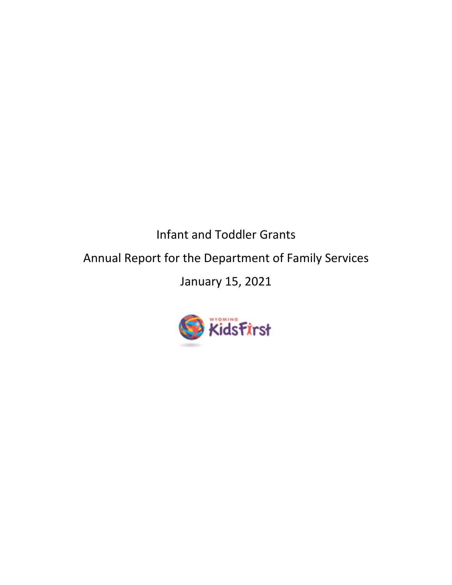Infant and Toddler Grants Annual Report for the Department of Family Services January 15, 2021

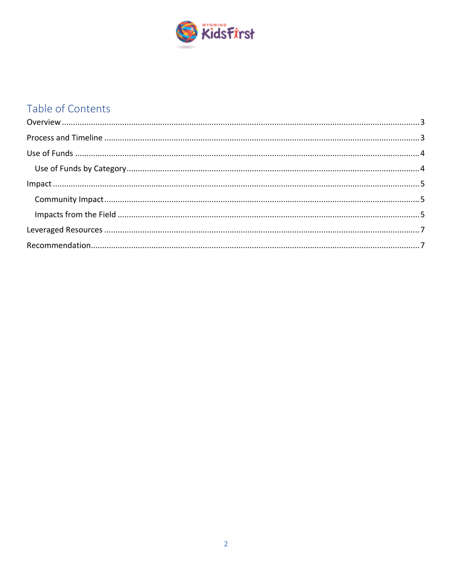

# Table of Contents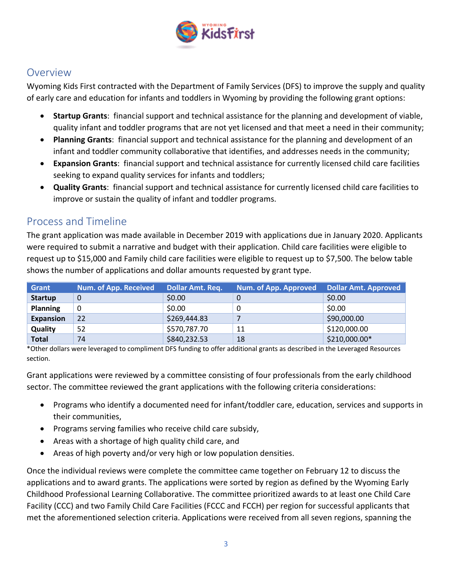

## **Overview**

Wyoming Kids First contracted with the Department of Family Services (DFS) to improve the supply and quality of early care and education for infants and toddlers in Wyoming by providing the following grant options:

- **Startup Grants**: financial support and technical assistance for the planning and development of viable, quality infant and toddler programs that are not yet licensed and that meet a need in their community;
- **Planning Grants**: financial support and technical assistance for the planning and development of an infant and toddler community collaborative that identifies, and addresses needs in the community;
- **Expansion Grants**: financial support and technical assistance for currently licensed child care facilities seeking to expand quality services for infants and toddlers;
- **Quality Grants**: financial support and technical assistance for currently licensed child care facilities to improve or sustain the quality of infant and toddler programs.

## Process and Timeline

The grant application was made available in December 2019 with applications due in January 2020. Applicants were required to submit a narrative and budget with their application. Child care facilities were eligible to request up to \$15,000 and Family child care facilities were eligible to request up to \$7,500. The below table shows the number of applications and dollar amounts requested by grant type.

| <b>Grant</b>     | Num. of App. Received | <b>Dollar Amt. Req.</b> | Num. of App. Approved | <b>Dollar Amt. Approved</b> |
|------------------|-----------------------|-------------------------|-----------------------|-----------------------------|
| <b>Startup</b>   | 0                     | \$0.00                  |                       | \$0.00                      |
| <b>Planning</b>  | 0                     | \$0.00                  |                       | \$0.00                      |
| <b>Expansion</b> | 22                    | \$269,444.83            |                       | \$90,000.00                 |
| Quality          | 52                    | \$570,787.70            | 11                    | \$120,000.00                |
| <b>Total</b>     | 74                    | \$840,232.53            | 18                    | \$210,000.00*               |

\*Other dollars were leveraged to compliment DFS funding to offer additional grants as described in the Leveraged Resources section.

Grant applications were reviewed by a committee consisting of four professionals from the early childhood sector. The committee reviewed the grant applications with the following criteria considerations:

- Programs who identify a documented need for infant/toddler care, education, services and supports in their communities,
- Programs serving families who receive child care subsidy,
- Areas with a shortage of high quality child care, and
- Areas of high poverty and/or very high or low population densities.

Once the individual reviews were complete the committee came together on February 12 to discuss the applications and to award grants. The applications were sorted by region as defined by the Wyoming Early Childhood Professional Learning Collaborative. The committee prioritized awards to at least one Child Care Facility (CCC) and two Family Child Care Facilities (FCCC and FCCH) per region for successful applicants that met the aforementioned selection criteria. Applications were received from all seven regions, spanning the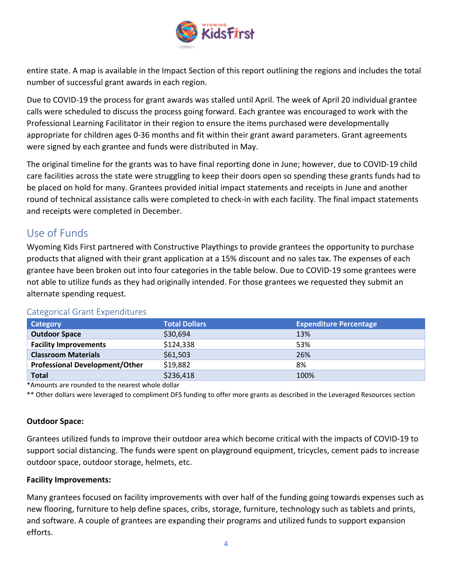

entire state. A map is available in the Impact Section of this report outlining the regions and includes the total number of successful grant awards in each region.

Due to COVID-19 the process for grant awards was stalled until April. The week of April 20 individual grantee calls were scheduled to discuss the process going forward. Each grantee was encouraged to work with the Professional Learning Facilitator in their region to ensure the items purchased were developmentally appropriate for children ages 0-36 months and fit within their grant award parameters. Grant agreements were signed by each grantee and funds were distributed in May.

The original timeline for the grants was to have final reporting done in June; however, due to COVID-19 child care facilities across the state were struggling to keep their doors open so spending these grants funds had to be placed on hold for many. Grantees provided initial impact statements and receipts in June and another round of technical assistance calls were completed to check-in with each facility. The final impact statements and receipts were completed in December.

# Use of Funds

Wyoming Kids First partnered with Constructive Playthings to provide grantees the opportunity to purchase products that aligned with their grant application at a 15% discount and no sales tax. The expenses of each grantee have been broken out into four categories in the table below. Due to COVID-19 some grantees were not able to utilize funds as they had originally intended. For those grantees we requested they submit an alternate spending request.

| Category                              | <b>Total Dollars</b> | <b>Expenditure Percentage</b> |
|---------------------------------------|----------------------|-------------------------------|
| <b>Outdoor Space</b>                  | \$30,694             | 13%                           |
| <b>Facility Improvements</b>          | \$124,338            | 53%                           |
| <b>Classroom Materials</b>            | \$61,503             | 26%                           |
| <b>Professional Development/Other</b> | \$19,882             | 8%                            |
| <b>Total</b>                          | \$236,418            | 100%                          |

### Categorical Grant Expenditures

\*Amounts are rounded to the nearest whole dollar

\*\* Other dollars were leveraged to compliment DFS funding to offer more grants as described in the Leveraged Resources section

#### **Outdoor Space:**

Grantees utilized funds to improve their outdoor area which become critical with the impacts of COVID-19 to support social distancing. The funds were spent on playground equipment, tricycles, cement pads to increase outdoor space, outdoor storage, helmets, etc.

#### **Facility Improvements:**

Many grantees focused on facility improvements with over half of the funding going towards expenses such as new flooring, furniture to help define spaces, cribs, storage, furniture, technology such as tablets and prints, and software. A couple of grantees are expanding their programs and utilized funds to support expansion efforts.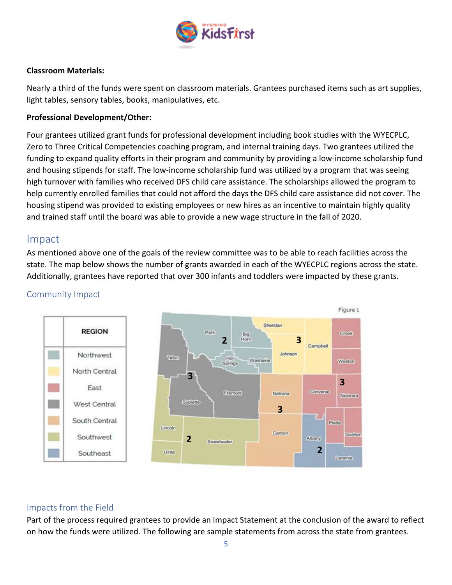

#### **Classroom Materials:**

Nearly a third of the funds were spent on classroom materials. Grantees purchased items such as art supplies, light tables, sensory tables, books, manipulatives, etc.

#### **Professional Development/Other:**

Four grantees utilized grant funds for professional development including book studies with the WYECPLC, Zero to Three Critical Competencies coaching program, and internal training days. Two grantees utilized the funding to expand quality efforts in their program and community by providing a low-income scholarship fund and housing stipends for staff. The low-income scholarship fund was utilized by a program that was seeing high turnover with families who received DFS child care assistance. The scholarships allowed the program to help currently enrolled families that could not afford the days the DFS child care assistance did not cover. The housing stipend was provided to existing employees or new hires as an incentive to maintain highly quality and trained staff until the board was able to provide a new wage structure in the fall of 2020.

### Impact

As mentioned above one of the goals of the review committee was to be able to reach facilities across the state. The map below shows the number of grants awarded in each of the WYECPLC regions across the state. Additionally, grantees have reported that over 300 infants and toddlers were impacted by these grants.



#### Community Impact

#### Impacts from the Field

Part of the process required grantees to provide an Impact Statement at the conclusion of the award to reflect on how the funds were utilized. The following are sample statements from across the state from grantees.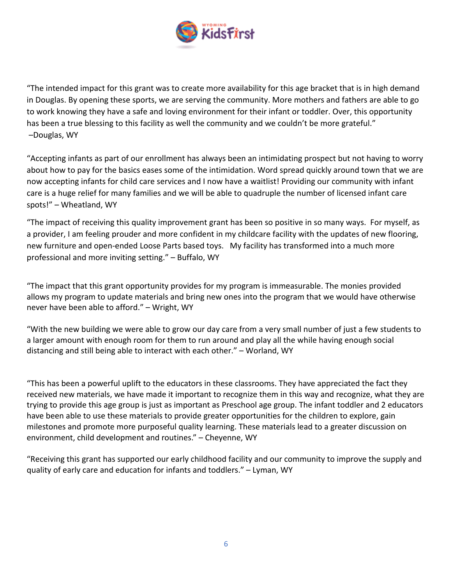

"The intended impact for this grant was to create more availability for this age bracket that is in high demand in Douglas. By opening these sports, we are serving the community. More mothers and fathers are able to go to work knowing they have a safe and loving environment for their infant or toddler. Over, this opportunity has been a true blessing to this facility as well the community and we couldn't be more grateful." –Douglas, WY

"Accepting infants as part of our enrollment has always been an intimidating prospect but not having to worry about how to pay for the basics eases some of the intimidation. Word spread quickly around town that we are now accepting infants for child care services and I now have a waitlist! Providing our community with infant care is a huge relief for many families and we will be able to quadruple the number of licensed infant care spots!" – Wheatland, WY

"The impact of receiving this quality improvement grant has been so positive in so many ways. For myself, as a provider, I am feeling prouder and more confident in my childcare facility with the updates of new flooring, new furniture and open-ended Loose Parts based toys. My facility has transformed into a much more professional and more inviting setting." – Buffalo, WY

"The impact that this grant opportunity provides for my program is immeasurable. The monies provided allows my program to update materials and bring new ones into the program that we would have otherwise never have been able to afford." – Wright, WY

"With the new building we were able to grow our day care from a very small number of just a few students to a larger amount with enough room for them to run around and play all the while having enough social distancing and still being able to interact with each other." – Worland, WY

"This has been a powerful uplift to the educators in these classrooms. They have appreciated the fact they received new materials, we have made it important to recognize them in this way and recognize, what they are trying to provide this age group is just as important as Preschool age group. The infant toddler and 2 educators have been able to use these materials to provide greater opportunities for the children to explore, gain milestones and promote more purposeful quality learning. These materials lead to a greater discussion on environment, child development and routines." – Cheyenne, WY

"Receiving this grant has supported our early childhood facility and our community to improve the supply and quality of early care and education for infants and toddlers." – Lyman, WY